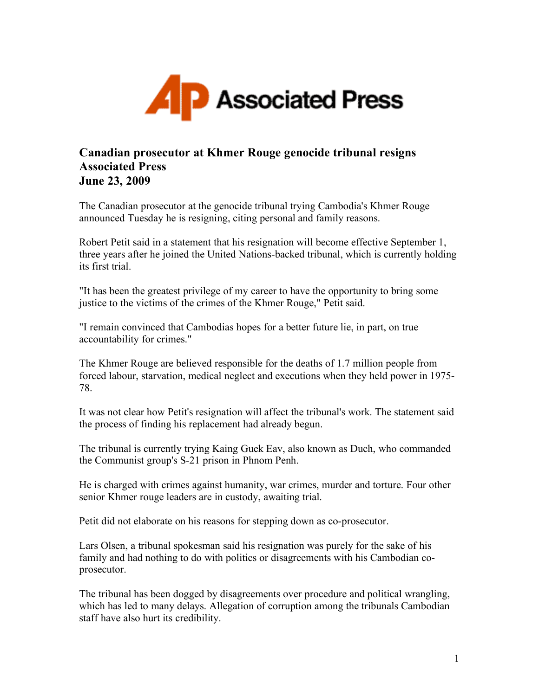

## **Canadian prosecutor at Khmer Rouge genocide tribunal resigns Associated Press June 23, 2009**

The Canadian prosecutor at the genocide tribunal trying Cambodia's Khmer Rouge announced Tuesday he is resigning, citing personal and family reasons.

Robert Petit said in a statement that his resignation will become effective September 1, three years after he joined the United Nations-backed tribunal, which is currently holding its first trial.

"It has been the greatest privilege of my career to have the opportunity to bring some justice to the victims of the crimes of the Khmer Rouge," Petit said.

"I remain convinced that Cambodias hopes for a better future lie, in part, on true accountability for crimes."

The Khmer Rouge are believed responsible for the deaths of 1.7 million people from forced labour, starvation, medical neglect and executions when they held power in 1975- 78.

It was not clear how Petit's resignation will affect the tribunal's work. The statement said the process of finding his replacement had already begun.

The tribunal is currently trying Kaing Guek Eav, also known as Duch, who commanded the Communist group's S-21 prison in Phnom Penh.

He is charged with crimes against humanity, war crimes, murder and torture. Four other senior Khmer rouge leaders are in custody, awaiting trial.

Petit did not elaborate on his reasons for stepping down as co-prosecutor.

Lars Olsen, a tribunal spokesman said his resignation was purely for the sake of his family and had nothing to do with politics or disagreements with his Cambodian coprosecutor.

The tribunal has been dogged by disagreements over procedure and political wrangling, which has led to many delays. Allegation of corruption among the tribunals Cambodian staff have also hurt its credibility.